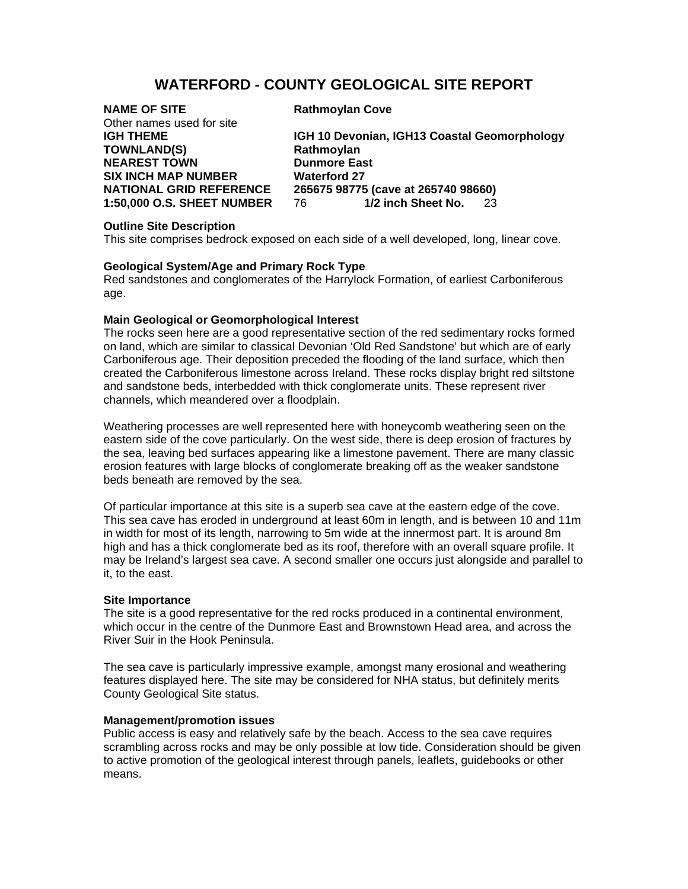# **WATERFORD - COUNTY GEOLOGICAL SITE REPORT**

| <b>NAME OF SITE</b><br>Other names used for site | <b>Rathmoylan Cove</b>                       |
|--------------------------------------------------|----------------------------------------------|
|                                                  |                                              |
| <b>IGH THEME</b>                                 | IGH 10 Devonian, IGH13 Coastal Geomorphology |
| <b>TOWNLAND(S)</b>                               | Rathmoylan                                   |
| <b>NEAREST TOWN</b>                              | <b>Dunmore East</b>                          |
| <b>SIX INCH MAP NUMBER</b>                       | <b>Waterford 27</b>                          |
| <b>NATIONAL GRID REFERENCE</b>                   | 265675 98775 (cave at 265740 98660)          |
| <b>1:50,000 O.S. SHEET NUMBER</b>                | 1/2 inch Sheet No. 23<br>76 —                |

## **Outline Site Description**

This site comprises bedrock exposed on each side of a well developed, long, linear cove.

## **Geological System/Age and Primary Rock Type**

Red sandstones and conglomerates of the Harrylock Formation, of earliest Carboniferous age.

## **Main Geological or Geomorphological Interest**

The rocks seen here are a good representative section of the red sedimentary rocks formed on land, which are similar to classical Devonian 'Old Red Sandstone' but which are of early Carboniferous age. Their deposition preceded the flooding of the land surface, which then created the Carboniferous limestone across Ireland. These rocks display bright red siltstone and sandstone beds, interbedded with thick conglomerate units. These represent river channels, which meandered over a floodplain.

Weathering processes are well represented here with honeycomb weathering seen on the eastern side of the cove particularly. On the west side, there is deep erosion of fractures by the sea, leaving bed surfaces appearing like a limestone pavement. There are many classic erosion features with large blocks of conglomerate breaking off as the weaker sandstone beds beneath are removed by the sea.

Of particular importance at this site is a superb sea cave at the eastern edge of the cove. This sea cave has eroded in underground at least 60m in length, and is between 10 and 11m in width for most of its length, narrowing to 5m wide at the innermost part. It is around 8m high and has a thick conglomerate bed as its roof, therefore with an overall square profile. It may be Ireland's largest sea cave. A second smaller one occurs just alongside and parallel to it, to the east.

#### **Site Importance**

The site is a good representative for the red rocks produced in a continental environment, which occur in the centre of the Dunmore East and Brownstown Head area, and across the River Suir in the Hook Peninsula.

The sea cave is particularly impressive example, amongst many erosional and weathering features displayed here. The site may be considered for NHA status, but definitely merits County Geological Site status.

#### **Management/promotion issues**

Public access is easy and relatively safe by the beach. Access to the sea cave requires scrambling across rocks and may be only possible at low tide. Consideration should be given to active promotion of the geological interest through panels, leaflets, guidebooks or other means.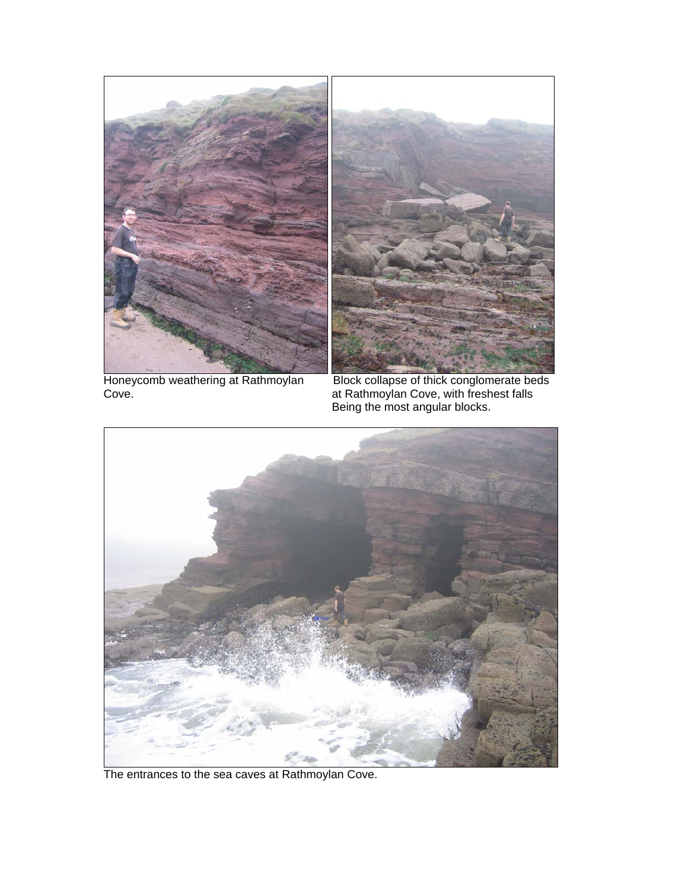

Cove. at Rathmoylan Cove, with freshest falls

Honeycomb weathering at Rathmoylan Block collapse of thick conglomerate beds Being the most angular blocks.



The entrances to the sea caves at Rathmoylan Cove.